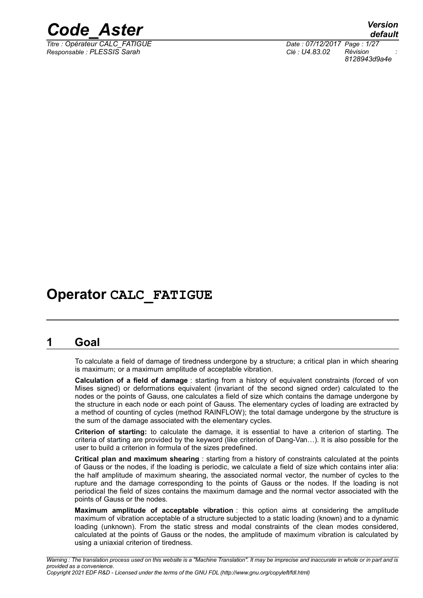

*Responsable : PLESSIS Sarah Clé : U4.83.02 Révision :*

*Titre : Opérateur CALC\_FATIGUE Date : 07/12/2017 Page : 1/27 8128943d9a4e*

# **Operator CALC\_FATIGUE**

# **1 Goal**

To calculate a field of damage of tiredness undergone by a structure; a critical plan in which shearing is maximum; or a maximum amplitude of acceptable vibration.

**Calculation of a field of damage** : starting from a history of equivalent constraints (forced of von Mises signed) or deformations equivalent (invariant of the second signed order) calculated to the nodes or the points of Gauss, one calculates a field of size which contains the damage undergone by the structure in each node or each point of Gauss. The elementary cycles of loading are extracted by a method of counting of cycles (method RAINFLOW); the total damage undergone by the structure is the sum of the damage associated with the elementary cycles.

**Criterion of starting:** to calculate the damage, it is essential to have a criterion of starting. The criteria of starting are provided by the keyword (like criterion of Dang-Van…). It is also possible for the user to build a criterion in formula of the sizes predefined.

**Critical plan and maximum shearing** : starting from a history of constraints calculated at the points of Gauss or the nodes, if the loading is periodic, we calculate a field of size which contains inter alia: the half amplitude of maximum shearing, the associated normal vector, the number of cycles to the rupture and the damage corresponding to the points of Gauss or the nodes. If the loading is not periodical the field of sizes contains the maximum damage and the normal vector associated with the points of Gauss or the nodes.

**Maximum amplitude of acceptable vibration** : this option aims at considering the amplitude maximum of vibration acceptable of a structure subjected to a static loading (known) and to a dynamic loading (unknown). From the static stress and modal constraints of the clean modes considered, calculated at the points of Gauss or the nodes, the amplitude of maximum vibration is calculated by using a uniaxial criterion of tiredness.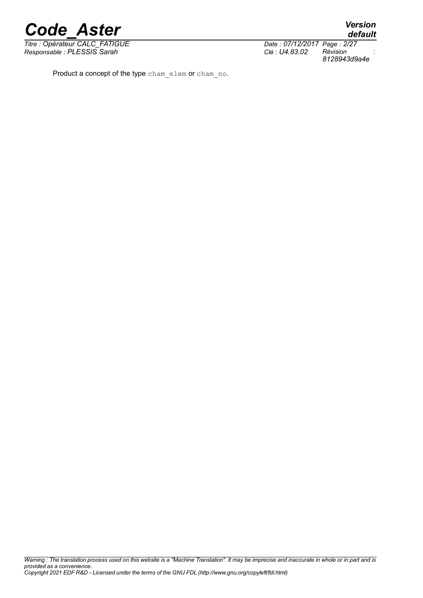*Titre : Opérateur CALC\_FATIGUE Date : 07/12/2017 Page : 2/27 Responsable : PLESSIS Sarah Clé : U4.83.02 Révision :*

*8128943d9a4e*

Product a concept of the type cham\_elem or cham\_no.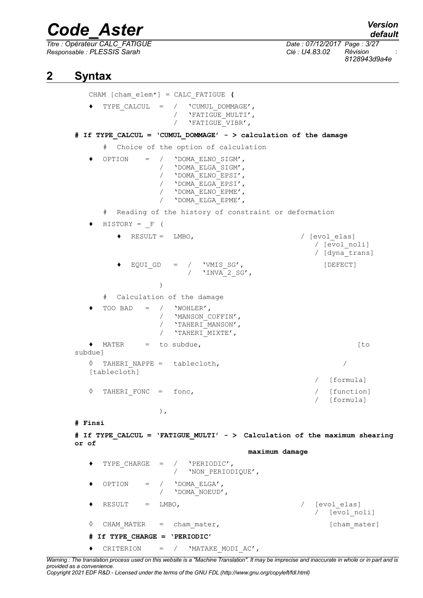*Titre : Opérateur CALC\_FATIGUE Date : 07/12/2017 Page : 3/27 Responsable : PLESSIS Sarah Clé : U4.83.02 Révision :*

*8128943d9a4e*

## **2 Syntax**

CHAM [cham\_elem\*] = CALC\_FATIGUE **(** ♦ TYPE\_CALCUL = / 'CUMUL\_DOMMAGE', / 'FATIGUE\_MULTI',<br>/ 'FATIGUE\_VIBR', / 'FATIGUE\_VIBR', **# If TYPE\_CALCUL = 'CUMUL\_DOMMAGE' - > calculation of the damage** # Choice of the option of calculation  $OPTION = / 'DOMA ELNO SIGM',$ / 'DOMA\_ELGA\_SIGM', / 'DOMA\_ELNO\_EPSI', / 'DOMA\_ELGA\_EPSI', / 'DOMA\_ELNO\_EPME', / 'DOMA ELGA EPME', Reading of the history of constraint or deformation  $HISTORY = F ($ ♦ RESULT = LMBO, / [evol\_elas] / [evol\_noli] / [dyna\_trans]  $EQUI$  GD = / 'VMIS SG',  $[DEFECT]$  $/$  'INVA 2 SG', ) # Calculation of the damage TOO BAD =  $/$  'WOHLER', / 'MANSON\_COFFIN', / 'TAHERI\_MANSON', / 'TAHERI\_MIXTE', ◆ MATER = to subdue, (to subdue]  $\Diamond$  TAHERI NAPPE = tablecloth,  $\Diamond$ [tablecloth] [formula] ◊ TAHERI\_FONC = fonc, / [function] [formula] ), **# Finsi # If TYPE\_CALCUL = 'FATIGUE\_MULTI' - > Calculation of the maximum shearing or of maximum damage** TYPE CHARGE =  $/$  'PERIODIC', / 'NON\_PERIODIQUE',  $OPTION = / 'DOMA ElGA',$ / 'DOMA\_NOEUD', RESULT = LMBO,  $\sqrt{|\text{evol}-\text{elas}|}$ [evol noli] ◊ CHAM\_MATER = cham\_mater, [cham\_mater] **# If TYPE\_CHARGE = 'PERIODIC'** ♦ CRITERION = / 'MATAKE\_MODI\_AC',

*Warning : The translation process used on this website is a "Machine Translation". It may be imprecise and inaccurate in whole or in part and is provided as a convenience.*

*Copyright 2021 EDF R&D - Licensed under the terms of the GNU FDL (http://www.gnu.org/copyleft/fdl.html)*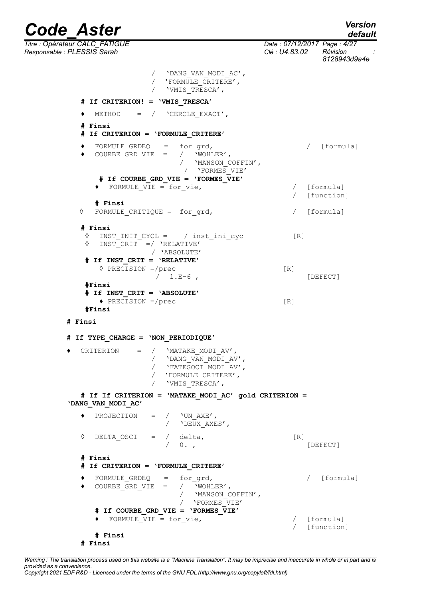*Code\_Aster Version Titre : Opérateur CALC\_FATIGUE Date : 07/12/2017 Page : 4/27 Responsable : PLESSIS Sarah Clé : U4.83.02 Révision : 8128943d9a4e* / 'DANG\_VAN\_MODI\_AC', / 'FORMULE\_CRITERE', / 'VMIS\_TRESCA', **# If CRITERION! = 'VMIS\_TRESCA'** ♦ METHOD = / 'CERCLE\_EXACT', **# Finsi # If CRITERION = 'FORMULE\_CRITERE'**  ♦ FORMULE\_GRDEQ = for\_grd, / [formula]  $\bullet$  COURBE GRD VIE = / 'MANSON\_COFFIN', / 'FORMES\_VIE' **# If COURBE\_GRD\_VIE = 'FORMES\_VIE'**  • FORMULE VIE = for vie,  $\overline{ }$  / [formula] / [function] **# Finsi** ◊ FORMULE\_CRITIQUE = for\_grd, / [formula] **# Finsi ◊** INST\_INIT\_CYCL = / inst\_ini\_cyc [R] **◊** INST\_CRIT =/ 'RELATIVE' / 'ABSOLUTE' **# If INST\_CRIT = 'RELATIVE' ◊** PRECISION =/prec [R] / 1.E-6 , [DEFECT] **#Finsi # If INST\_CRIT = 'ABSOLUTE'**   $\triangle$  PRECISION =/prec [R] **#Finsi # Finsi # If TYPE\_CHARGE = 'NON\_PERIODIQUE'**  $CRITERION = /_{MATAKE} MODI AV',$ / 'DANG\_VAN\_MODI\_AV', / 'DANG\_VAN\_MODI\_AV',<br>/ 'FATESOCI\_MODI\_AV', / 'FORMULE\_CRITERE', / 'VMIS\_TRESCA', **# If If CRITERION = 'MATAKE\_MODI\_AC' gold CRITERION = 'DANG\_VAN\_MODI\_AC'** ♦ PROJECTION = / 'UN\_AXE', / 'DEUX AXES', ◊ DELTA\_OSCI = / delta, [R] / 0. , [DEFECT] **# Finsi # If CRITERION = 'FORMULE\_CRITERE'**   $FORMULE$  GRDEQ = for grd,  $/$  [formula]  $\bullet$  COURBE GRD VIE = / 'MANSON\_COFFIN', / 'FORMES\_VIE' **# If COURBE\_GRD\_VIE = 'FORMES\_VIE'**   $\rightarrow$  FORMULE VIE = for vie,  $\rightarrow$  [formula] / [function] **# Finsi**

*Warning : The translation process used on this website is a "Machine Translation". It may be imprecise and inaccurate in whole or in part and is provided as a convenience. Copyright 2021 EDF R&D - Licensed under the terms of the GNU FDL (http://www.gnu.org/copyleft/fdl.html)*

**# Finsi**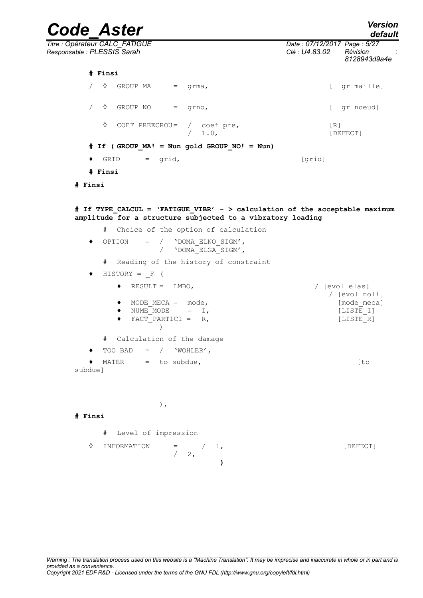*Code\_Aster Version Titre : Opérateur CALC\_FATIGUE Date : 07/12/2017 Page : 5/27 Responsable : PLESSIS Sarah Clé : U4.83.02 Révision : 8128943d9a4e* **# Finsi** / 0 GROUP MA = grma,  $[1_gr\_maille]$ /  $\sqrt{2}$  GROUP NO = grno, [lgr\_noeud] ◊ COEF\_PREECROU= / coef\_pre, [R] / 1.0, [DEFECT] **# If ( GROUP\_MA! = Nun gold GROUP\_NO! = Nun)**  $\bullet$  GRID = grid,  $[grid]$ **# Finsi # Finsi # If TYPE\_CALCUL = 'FATIGUE\_VIBR' - > calculation of the acceptable maximum amplitude for a structure subjected to a vibratory loading** # Choice of the option of calculation ♦ OPTION = / 'DOMA\_ELNO\_SIGM', / 'DOMA\_ELGA\_SIGM', # Reading of the history of constraint  $\blacklozenge$  HISTORY = F ( ♦ RESULT = LMBO, / [evol\_elas] / [evol\_noli] ◆ MODE MECA = mode, including a line mecal  $\bullet$  NUME<sup> $M$ </sup>ODE = I,  $[LISTE I]$ ◆ FACT PARTICI = R, [LISTE R] ) # Calculation of the damage  $\bullet$  TOO BAD = / 'WOHLER', ♦ MATER = to subdue, [to subdue]

),

 $/ 2,$ 

#### **# Finsi**

# Level of impression

```
\Diamond INFORMATION = / 1, [DEFECT]
```
**)**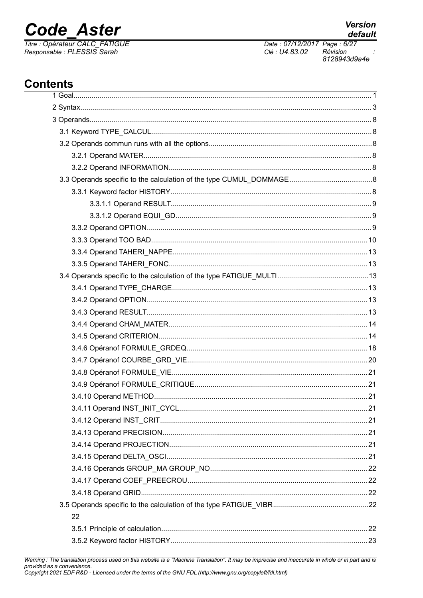# **Code Aster**

Titre : Opérateur CALC\_FATIGUE<br>Responsable : PLESSIS Sarah

**Version** 

# **Contents**

| 22 |
|----|
|    |
|    |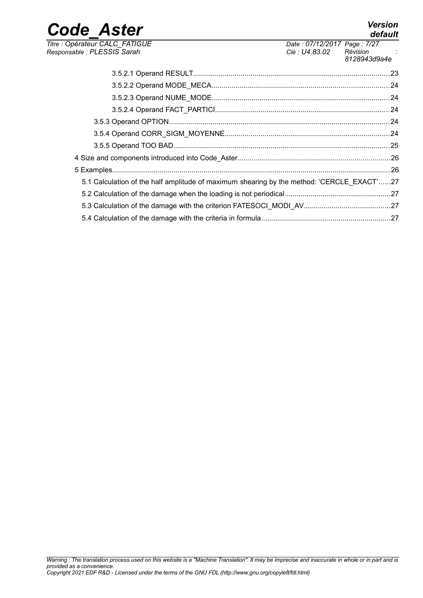*Titre : Opérateur CALC\_FATIGUE Date : 07/12/2017 Page : 7/27 Responsable : PLESSIS Sarah Clé : U4.83.02 Révision :*

| 5.1 Calculation of the half amplitude of maximum shearing by the method: 'CERCLE EXACT'27 |  |
|-------------------------------------------------------------------------------------------|--|
|                                                                                           |  |
|                                                                                           |  |
|                                                                                           |  |
|                                                                                           |  |

# *default*

*8128943d9a4e*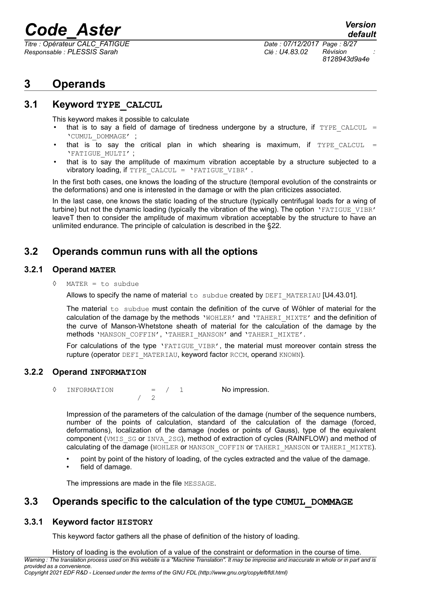*Titre : Opérateur CALC\_FATIGUE Date : 07/12/2017 Page : 8/27 Responsable : PLESSIS Sarah Clé : U4.83.02 Révision :*

# **3 Operands**

### **3.1 Keyword TYPE\_CALCUL**

This keyword makes it possible to calculate

- that is to say a field of damage of tiredness undergone by a structure, if  $TYPE$  CALCUL = 'CUMUL\_DOMMAGE' ;
- that is to say the critical plan in which shearing is maximum, if  $TYPE$  CALCUL = 'FATIGUE\_MULTI' ;
- that is to say the amplitude of maximum vibration acceptable by a structure subjected to a vibratory loading, if TYPE CALCUL = 'FATIGUE VIBR' .

In the first both cases, one knows the loading of the structure (temporal evolution of the constraints or the deformations) and one is interested in the damage or with the plan criticizes associated.

In the last case, one knows the static loading of the structure (typically centrifugal loads for a wing of turbine) but not the dynamic loading (typically the vibration of the wing). The option 'FATIGUE VIBR' leaveT then to consider the amplitude of maximum vibration acceptable by the structure to have an unlimited endurance. The principle of calculation is described in the [§22.](#page-21-0)

### **3.2 Operands commun runs with all the options**

#### **3.2.1 Operand MATER**

**◊** MATER = to subdue

Allows to specify the name of material to subdue created by DEFI\_MATERIAU  $[U4.43.01]$ .

The material  $to$  subdue must contain the definition of the curve of Wöhler of material for the calculation of the damage by the methods 'WOHLER' and 'TAHERI\_MIXTE' and the definition of the curve of Manson-Whetstone sheath of material for the calculation of the damage by the methods 'MANSON\_COFFIN', 'TAHERI\_MANSON' and 'TAHERI\_MIXTE'.

For calculations of the type 'FATIGUE VIBR', the material must moreover contain stress the rupture (operator DEFI\_MATERIAU, keyword factor RCCM, operand KNOWN).

#### **3.2.2 Operand INFORMATION**

◊ INFORMATION = / 1 No impression.

Impression of the parameters of the calculation of the damage (number of the sequence numbers, number of the points of calculation, standard of the calculation of the damage (forced, deformations), localization of the damage (nodes or points of Gauss), type of the equivalent component (VMIS SG or INVA 2SG), method of extraction of cycles (RAINFLOW) and method of calculating of the damage (WOHLER or MANSON COFFIN or TAHERI\_MANSON or TAHERI\_MIXTE).

- point by point of the history of loading, of the cycles extracted and the value of the damage.
- field of damage.

The impressions are made in the file MESSAGE.

/ 2

## **3.3 Operands specific to the calculation of the type CUMUL\_DOMMAGE**

#### **3.3.1 Keyword factor HISTORY**

This keyword factor gathers all the phase of definition of the history of loading.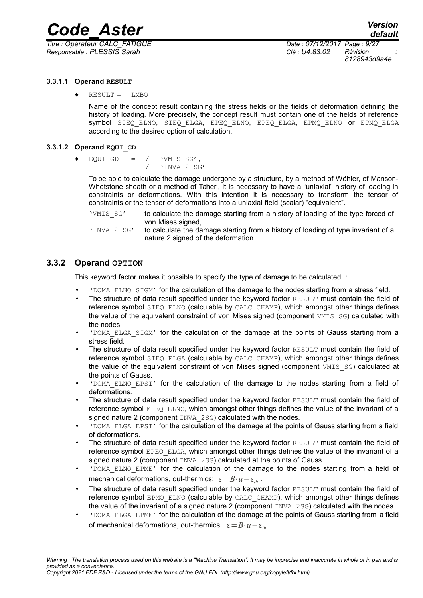

*Responsable : PLESSIS Sarah Clé : U4.83.02 Révision :*

*Titre : Opérateur CALC\_FATIGUE Date : 07/12/2017 Page : 9/27 8128943d9a4e*

#### **3.3.1.1 Operand RESULT**

 $RESULT = LMBO$ 

Name of the concept result containing the stress fields or the fields of deformation defining the history of loading. More precisely, the concept result must contain one of the fields of reference symbol SIEQ ELNO, SIEQ ELGA, EPEQ ELNO, EPEQ ELGA, EPMQ ELNO or EPMQ ELGA according to the desired option of calculation.

#### **3.3.1.2 Operand EQUI\_GD**

EQUI GD =  $/$  'VMIS SG', / 'INVA\_2\_SG'

To be able to calculate the damage undergone by a structure, by a method of Wöhler, of Manson-Whetstone sheath or a method of Taheri, it is necessary to have a "uniaxial" history of loading in constraints or deformations. With this intention it is necessary to transform the tensor of constraints or the tensor of deformations into a uniaxial field (scalar) "equivalent".

'VMIS\_SG' to calculate the damage starting from a history of loading of the type forced of von Mises signed,

'INVA\_2\_SG' to calculate the damage starting from a history of loading of type invariant of a nature 2 signed of the deformation.

#### **3.3.2 Operand OPTION**

This keyword factor makes it possible to specify the type of damage to be calculated :

- 'DOMA\_ELNO\_SIGM' for the calculation of the damage to the nodes starting from a stress field.
- The structure of data result specified under the keyword factor RESULT must contain the field of reference symbol SIEQ ELNO (calculable by CALC CHAMP), which amongst other things defines the value of the equivalent constraint of von Mises signed (component VMIS SG) calculated with the nodes.
- **POMA ELGA SIGM' for the calculation of the damage at the points of Gauss starting from a** stress field.
- The structure of data result specified under the keyword factor RESULT must contain the field of reference symbol SIEQ ELGA (calculable by CALC CHAMP), which amongst other things defines the value of the equivalent constraint of von Mises signed (component VMIS SG) calculated at the points of Gauss.
- **'DOMA ELNO EPSI'** for the calculation of the damage to the nodes starting from a field of deformations.
- The structure of data result specified under the keyword factor RESULT must contain the field of reference symbol EPEO ELNO, which amongst other things defines the value of the invariant of a signed nature 2 (component INVA 2SG) calculated with the nodes.
- 'DOMA\_ELGA\_EPSI' for the calculation of the damage at the points of Gauss starting from a field of deformations.
- The structure of data result specified under the keyword factor RESULT must contain the field of reference symbol EPEQ ELGA, which amongst other things defines the value of the invariant of a signed nature 2 (component INVA 2SG) calculated at the points of Gauss.
- 'DOMA\_ELNO\_EPME' for the calculation of the damage to the nodes starting from a field of mechanical deformations, out-thermics:  $ε = B \cdot u - ε$ .
- The structure of data result specified under the keyword factor RESULT must contain the field of reference symbol EPMQ\_ELNO (calculable by CALC\_CHAMP), which amongst other things defines the value of the invariant of a signed nature 2 (component  $INVA$   $2SG$ ) calculated with the nodes.
- 'DOMA\_ELGA\_EPME' for the calculation of the damage at the points of Gauss starting from a field of mechanical deformations, out-thermics:  $\varepsilon = B \cdot u - \varepsilon_h$ .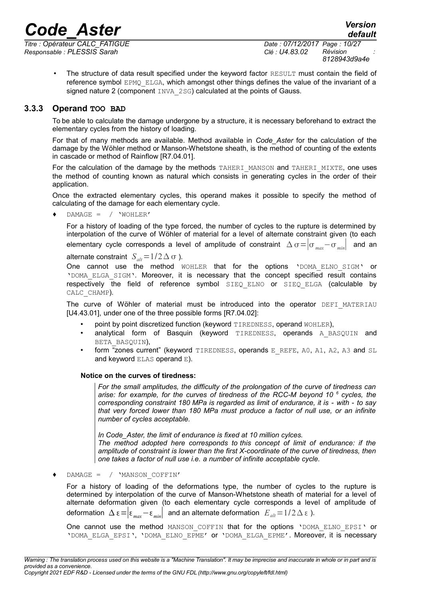*Titre : Opérateur CALC\_FATIGUE Date : 07/12/2017 Page : 10/27 Responsable : PLESSIS Sarah Clé : U4.83.02 Révision :*

• The structure of data result specified under the keyword factor RESULT must contain the field of reference symbol EPMO ELGA, which amongst other things defines the value of the invariant of a signed nature 2 (component  $INVA$  2SG) calculated at the points of Gauss.

#### **3.3.3 Operand TOO BAD**

To be able to calculate the damage undergone by a structure, it is necessary beforehand to extract the elementary cycles from the history of loading.

For that of many methods are available. Method available in *Code\_Aster* for the calculation of the damage by the Wöhler method or Manson-Whetstone sheath, is the method of counting of the extents in cascade or method of Rainflow [R7.04.01].

For the calculation of the damage by the methods TAHERI\_MANSON and TAHERI\_MIXTE, one uses the method of counting known as natural which consists in generating cycles in the order of their application.

Once the extracted elementary cycles, this operand makes it possible to specify the method of calculating of the damage for each elementary cycle.

 $DAMAGE = / 'WOHLER'$ 

For a history of loading of the type forced, the number of cycles to the rupture is determined by interpolation of the curve of Wöhler of material for a level of alternate constraint given (to each elementary cycle corresponds a level of amplitude of constraint  $\Delta \sigma = |\sigma_{max} - \sigma_{min}|$  and an

alternate constraint  $S_{alt} = 1/2 \Delta \sigma$ ).

One cannot use the method WOHLER that for the options 'DOMA ELNO SIGM' or 'DOMA\_ELGA\_SIGM'. Moreover, it is necessary that the concept specified result contains respectively the field of reference symbol SIEQ\_ELNO or SIEQ\_ELGA (calculable by CALC\_CHAMP).

The curve of Wöhler of material must be introduced into the operator DEFI MATERIAU [U4.43.01], under one of the three possible forms [R7.04.02]:

- point by point discretized function (keyword TIREDNESS, operand WOHLER),
- analytical form of Basquin (keyword TIREDNESS, operands A BASQUIN and BETA\_BASQUIN),
- form "zones current" (keyword TIREDNESS, operands  $E$  REFE, A0, A1, A2, A3 and SL and keyword ELAS operand E).

#### **Notice on the curves of tiredness:**

*For the small amplitudes, the difficulty of the prolongation of the curve of tiredness can arise: for example, for the curves of tiredness of the RCC-M beyond 10 <sup>6</sup> cycles, the corresponding constraint 180 MPa is regarded as limit of endurance, it is - with - to say that very forced lower than 180 MPa must produce a factor of null use, or an infinite number of cycles acceptable.*

*In Code\_Aster, the limit of endurance is fixed at 10 million cylces. The method adopted here corresponds to this concept of limit of endurance: if the amplitude of constraint is lower than the first X-coordinate of the curve of tiredness, then one takes a factor of null use i.e. a number of infinite acceptable cycle.*

♦ DAMAGE = / 'MANSON\_COFFIN'

For a history of loading of the deformations type, the number of cycles to the rupture is determined by interpolation of the curve of Manson-Whetstone sheath of material for a level of alternate deformation given (to each elementary cycle corresponds a level of amplitude of deformation  $\Delta \varepsilon = |\varepsilon_{max} - \varepsilon_{min}|$  and an alternate deformation  $E_{alt} = 1/2 \Delta \varepsilon$ ).

One cannot use the method MANSON COFFIN that for the options 'DOMA\_ELNO\_EPSI' or 'DOMA\_ELGA\_EPSI', 'DOMA\_ELNO\_EPME' or 'DOMA\_ELGA\_EPME'. Moreover, it is necessary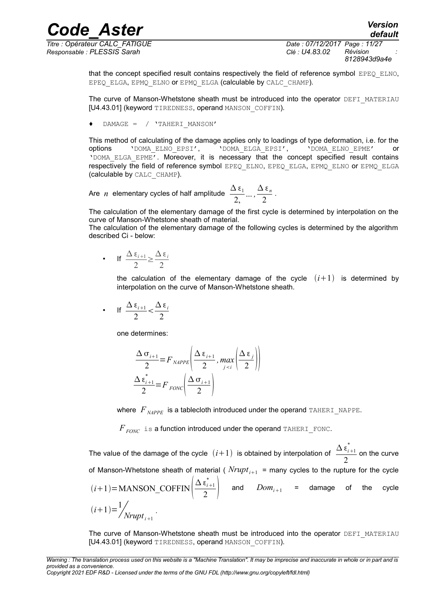*Responsable : PLESSIS Sarah Clé : U4.83.02 Révision :*

*Titre : Opérateur CALC\_FATIGUE Date : 07/12/2017 Page : 11/27 8128943d9a4e*

> that the concept specified result contains respectively the field of reference symbol EPEQ ELNO, EPEQ ELGA, EPMQ ELNO OT EPMQ ELGA (calculable by CALC CHAMP).

> The curve of Manson-Whetstone sheath must be introduced into the operator DEFI\_MATERIAU [U4.43.01] (keyword TIREDNESS, operand MANSON COFFIN).

 $DAMAGE = / 'TAHERI$  MANSON'

This method of calculating of the damage applies only to loadings of type deformation, i.e. for the options 'DOMA\_ELNO\_EPSI', 'DOMA\_ELGA\_EPSI', 'DOMA\_ELNO\_EPME' or 'DOMA\_ELGA\_EPME'. Moreover, it is necessary that the concept specified result contains respectively the field of reference symbol EPEQ\_ELNO, EPEQ\_ELGA, EPMQ\_ELNO or EPMQ\_ELGA (calculable by CALC\_CHAMP).

Are *n* elementary cycles of half amplitude  $\frac{\Delta \epsilon_1}{2}$ 2,  $\frac{\Delta \varepsilon_n}{\Delta}$  $\frac{2^{n}}{2}$ .

The calculation of the elementary damage of the first cycle is determined by interpolation on the curve of Manson-Whetstone sheath of material.

The calculation of the elementary damage of the following cycles is determined by the algorithm described Ci - below:

• If  $\frac{\Delta \varepsilon_{i+1}}{2}$ 2  $\geq \frac{\Delta \varepsilon_i}{2}$ 2

> the calculation of the elementary damage of the cycle  $(i+1)$  is determined by interpolation on the curve of Manson-Whetstone sheath.

• If 
$$
\frac{\Delta \epsilon_{i+1}}{2} < \frac{\Delta \epsilon_i}{2}
$$

one determines:

$$
\frac{\Delta \sigma_{i+1}}{2} = F_{\text{MAPPE}} \left( \frac{\Delta \epsilon_{i+1}}{2}, \max_{j < i} \left( \frac{\Delta \epsilon_j}{2} \right) \right)
$$
\n
$$
\frac{\Delta \epsilon_{i+1}}{2} = F_{\text{FONC}} \left( \frac{\Delta \sigma_{i+1}}{2} \right)
$$

where  $F_{\text{MPPE}}$  is a tablecloth introduced under the operand TAHERI\_NAPPE.

 $F_{FONC}$  is a function introduced under the operand TAHERI\_FONC.

The value of the damage of the cycle  $(i+1)$  is obtained by interpolation of  $\frac{\Delta \epsilon^*_{i+1}}{2}$ 2 on the curve of Manson-Whetstone sheath of material (  $Nrupt_{i+1}$  = many cycles to the rupture for the cycle  $(i+1)$ =MANSON\_COFFIN $\vert \bar{=}$  $Δ ε_{i+1}^*$  $\left(\frac{\varepsilon_{i+1}}{2}\right)$  and  $Dom_{i+1}$  = damage of the cycle  $(i+1)=\frac{1}{2}$ <sup>'</sup><br>Nrupt<sub>i+1</sub></sub>

The curve of Manson-Whetstone sheath must be introduced into the operator DEFI\_MATERIAU [U4.43.01] (keyword TIREDNESS, operand MANSON COFFIN).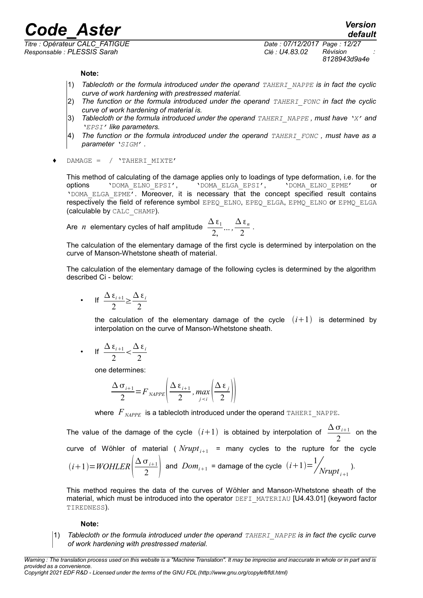*Responsable : PLESSIS Sarah Clé : U4.83.02 Révision :*

*8128943d9a4e*

*default*

#### **Note:**

- 1) **Tablecloth or the formula introduced under the operand** *TAHERI* NAPPE is in fact the cyclic *curve of work hardening with prestressed material.*
- 2) *The function or the formula introduced under the operand TAHERI\_FONC in fact the cyclic curve of work hardening of material is.*
- 3) *Tablecloth or the formula introduced under the operand TAHERI\_NAPPE , must have 'X' and 'EPSI' like parameters.*
- 4) *The function or the formula introduced under the operand TAHERI\_FONC , must have as a parameter 'SIGM' .*
- ♦ DAMAGE = / 'TAHERI\_MIXTE'

This method of calculating of the damage applies only to loadings of type deformation, i.e. for the options 'DOMA\_ELNO\_EPSI', 'DOMA\_ELGA\_EPSI', 'DOMA\_ELNO\_EPME' or 'DOMA\_ELGA\_EPME'. Moreover, it is necessary that the concept specified result contains respectively the field of reference symbol EPEQ\_ELNO, EPEQ\_ELGA, EPMQ\_ELNO or EPMQ\_ELGA (calculable by CALC\_CHAMP).

Are *n* elementary cycles of half amplitude 
$$
\frac{\Delta \epsilon_1}{2, \ldots, \frac{\Delta \epsilon_n}{2}}
$$

The calculation of the elementary damage of the first cycle is determined by interpolation on the curve of Manson-Whetstone sheath of material.

.

The calculation of the elementary damage of the following cycles is determined by the algorithm described Ci - below:

• If 
$$
\frac{\Delta \epsilon_{i+1}}{2} \ge \frac{\Delta \epsilon_i}{2}
$$

the calculation of the elementary damage of the cycle  $(i+1)$  is determined by interpolation on the curve of Manson-Whetstone sheath.

• If 
$$
\frac{\Delta \epsilon_{i+1}}{2} < \frac{\Delta \epsilon_i}{2}
$$

one determines:

$$
\frac{\Delta \sigma_{i+1}}{2} = F_{\text{NAPPE}} \left( \frac{\Delta \epsilon_{i+1}}{2}, \max_{j < i} \left( \frac{\Delta \epsilon_j}{2} \right) \right)
$$

where  $F_{NAPPE}$  is a tablecloth introduced under the operand TAHERI\_NAPPE.

The value of the damage of the cycle  $(i+1)$  is obtained by interpolation of  $\frac{\Delta \sigma_{i+1}}{2}$  $\frac{1}{2}$  on the curve of Wöhler of material ( $Nrupt_{i+1}$  = many cycles to the rupture for the cycle  $(i+1)=WOHLER$ <sup> $\equiv$ </sup>  $Δ σ<sub>i+1</sub>$  $\left(\frac{\sigma_{i+1}}{2}\right)$  and  $Dom_{i+1}$  = damage of the cycle  $(i+1)=\frac{1}{\sqrt{2}}$  $N$ *rupt*<sub>i+1</sub> $)$ .

This method requires the data of the curves of Wöhler and Manson-Whetstone sheath of the material, which must be introduced into the operator  $DEFI$  MATERIAU [U4.43.01] (keyword factor TIREDNESS).

#### **Note:**

1) *Tablecloth or the formula introduced under the operand TAHERI\_NAPPE is in fact the cyclic curve of work hardening with prestressed material.*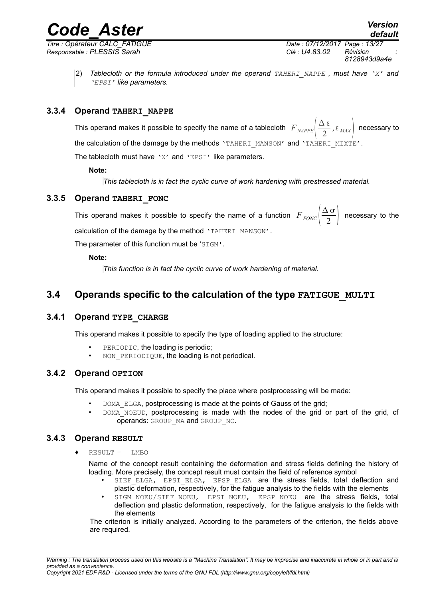*Titre : Opérateur CALC\_FATIGUE Date : 07/12/2017 Page : 13/27 Responsable : PLESSIS Sarah Clé : U4.83.02 Révision :*

*8128943d9a4e*

2) *Tablecloth or the formula introduced under the operand TAHERI\_NAPPE , must have 'X' and 'EPSI' like parameters.*

#### **3.3.4 Operand TAHERI\_NAPPE**

This operand makes it possible to specify the name of a tablecloth  $\left. F_{\textit{MAPPE}}\right|\frac{\Delta\,\varepsilon}{2}$  $\left( \frac{\mathbf{x} \cdot \mathbf{c}}{2}, \varepsilon_{\text{MAX}} \right)$  necessary to the calculation of the damage by the methods 'TAHERI\_MANSON' and 'TAHERI\_MIXTE'.

The tablecloth must have 'X' and 'EPSI' like parameters.

#### **Note:**

*This tablecloth is in fact the cyclic curve of work hardening with prestressed material.*

#### **3.3.5 Operand TAHERI\_FONC**

This operand makes it possible to specify the name of a function  $\overline{F}_{FONC} \bigg| \frac{\Delta \sigma}{2}$  $\left(\frac{10}{2}\right)$  necessary to the calculation of the damage by the method 'TAHERI\_MANSON'.

The parameter of this function must be 'SIGM'.

#### **Note:**

*This function is in fact the cyclic curve of work hardening of material.*

### **3.4 Operands specific to the calculation of the type FATIGUE\_MULTI**

#### **3.4.1 Operand TYPE\_CHARGE**

This operand makes it possible to specify the type of loading applied to the structure:

- PERIODIC, the loading is periodic;
- NON PERIODIQUE, the loading is not periodical.

#### **3.4.2 Operand OPTION**

This operand makes it possible to specify the place where postprocessing will be made:

- DOMA ELGA, postprocessing is made at the points of Gauss of the grid;
- DOMA NOEUD, postprocessing is made with the nodes of the grid or part of the grid, cf operands: GROUP\_MA and GROUP\_NO.

#### **3.4.3 Operand RESULT**

 $RESULT = LMBO$ 

Name of the concept result containing the deformation and stress fields defining the history of loading. More precisely, the concept result must contain the field of reference symbol

- SIEF ELGA, EPSI ELGA, EPSP ELGA are the stress fields, total deflection and plastic deformation, respectively, for the fatigue analysis to the fields with the elements
- SIGM\_NOEU/SIEF\_NOEU, EPSI\_NOEU, EPSP\_NOEU are the stress fields, total deflection and plastic deformation, respectively, for the fatigue analysis to the fields with the elements

The criterion is initially analyzed. According to the parameters of the criterion, the fields above are required.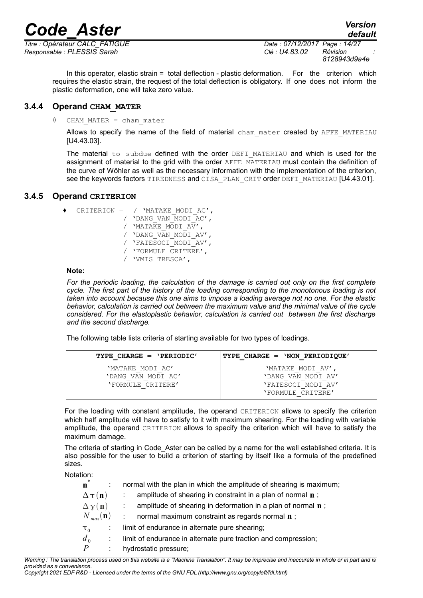*Responsable : PLESSIS Sarah Clé : U4.83.02 Révision :*

In this operator, elastic strain = total deflection - plastic deformation. For the criterion which requires the elastic strain, the request of the total deflection is obligatory. If one does not inform the plastic deformation, one will take zero value.

#### **3.4.4 Operand CHAM\_MATER**

CHAM\_MATER = cham\_mater

Allows to specify the name of the field of material cham mater created by AFFE\_MATERIAU [U4.43.03].

The material to subdue defined with the order DEFI\_MATERIAU and which is used for the assignment of material to the grid with the order AFFE\_MATERIAU must contain the definition of the curve of Wöhler as well as the necessary information with the implementation of the criterion, see the keywords factors TIREDNESS and CISA PLAN CRIT order DEFI\_MATERIAU [U4.43.01].

#### **3.4.5 Operand CRITERION**

|  | CRITERION = $/$ 'MATAKE MODI AC', |
|--|-----------------------------------|
|  | / 'DANG VAN MODI AC',             |
|  | / 'MATAKE MODI AV',               |
|  | / 'DANG VAN MODI AV',             |
|  | / 'FATESOCI MODI AV',             |
|  | / 'FORMULE CRITERE',              |
|  | / 'VMIS TRESCA',                  |

#### **Note:**

*For the periodic loading, the calculation of the damage is carried out only on the first complete cycle. The first part of the history of the loading corresponding to the monotonous loading is not taken into account because this one aims to impose a loading average not no one. For the elastic behavior, calculation is carried out between the maximum value and the minimal value of the cycle considered. For the elastoplastic behavior, calculation is carried out between the first discharge and the second discharge.* 

The following table lists criteria of starting available for two types of loadings.

| TYPE CHARGE = $'PERIODIC'$ | TYPE CHARGE = 'NON PERIODIOUE' |
|----------------------------|--------------------------------|
| 'MATAKE MODI AC'           | 'MATAKE MODI AV'.              |
| 'DANG VAN MODI AC'         | 'DANG VAN MODI AV'             |
| 'FORMULE CRITERE'          | 'FATESOCI MODI AV'             |
|                            | 'FORMULE CRITERE'              |

For the loading with constant amplitude, the operand CRITERION allows to specify the criterion which half amplitude will have to satisfy to it with maximum shearing. For the loading with variable amplitude, the operand CRITERION allows to specify the criterion which will have to satisfy the maximum damage.

The criteria of starting in Code Aster can be called by a name for the well established criteria. It is also possible for the user to build a criterion of starting by itself like a formula of the predefined sizes.

Notation:

| .                         |                                                                        |
|---------------------------|------------------------------------------------------------------------|
| $\mathbf{n}^*$            | normal with the plan in which the amplitude of shearing is maximum;    |
| $\Delta \tau(n)$          | amplitude of shearing in constraint in a plan of normal $\mathbf n$ ;  |
| $\Delta \chi(\mathbf{n})$ | amplitude of shearing in deformation in a plan of normal $\mathbf n$ ; |
| $N_{max}(\mathbf{n})$     | normal maximum constraint as regards normal <b>n</b> ;                 |
| $\tau_0$                  | limit of endurance in alternate pure shearing;                         |
| d <sub>0</sub>            | limit of endurance in alternate pure traction and compression;         |
| $\overline{P}$            | hydrostatic pressure;                                                  |
|                           |                                                                        |

*Warning : The translation process used on this website is a "Machine Translation". It may be imprecise and inaccurate in whole or in part and is provided as a convenience.*

*Copyright 2021 EDF R&D - Licensed under the terms of the GNU FDL (http://www.gnu.org/copyleft/fdl.html)*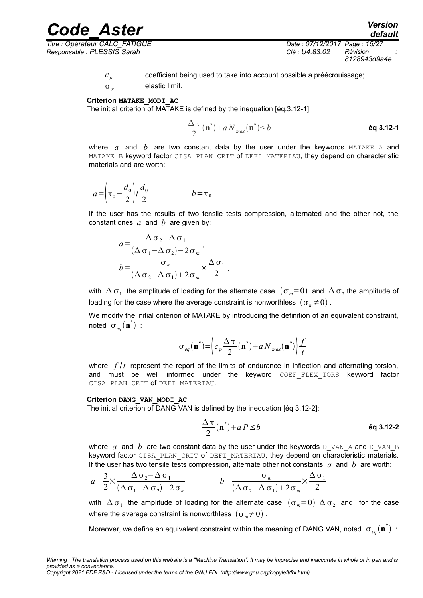*Responsable : PLESSIS Sarah Clé : U4.83.02 Révision :*

*Titre : Opérateur CALC\_FATIGUE Date : 07/12/2017 Page : 15/27 8128943d9a4e*

*default*

- *c p* : coefficient being used to take into account possible a préécrouissage;
	- $\sigma_{\nu}$ : elastic limit.

#### **Criterion MATAKE\_MODI\_AC**

The initial criterion of MATAKE is defined by the inequation [éq.3.12-1]:

$$
\frac{\Delta \tau}{2}(\mathbf{n}^*) + a N_{max}(\mathbf{n}^*) \le b
$$

where  $a$  and  $b$  are two constant data by the user under the keywords  $MATEE$  and MATAKE B keyword factor CISA PLAN CRIT of DEFI MATERIAU, they depend on characteristic materials and are worth:

$$
a = \left(\tau_0 - \frac{d_0}{2}\right) / \frac{d_0}{2} \qquad b = \tau_0
$$

If the user has the results of two tensile tests compression, alternated and the other not, the constant ones *a* and *b* are given by:

$$
a = \frac{\Delta \sigma_2 - \Delta \sigma_1}{(\Delta \sigma_1 - \Delta \sigma_2) - 2\sigma_m},
$$
  
\n
$$
b = \frac{\sigma_m}{(\Delta \sigma_2 - \Delta \sigma_1) + 2\sigma_m} \times \frac{\Delta \sigma_1}{2},
$$

with  $\Delta$   $\sigma_1^+$  the amplitude of loading for the alternate case  $\ (\sigma_m=0\)$  and  $\ \Delta\,\sigma_2^+$  the amplitude of loading for the case where the average constraint is nonworthless  $(\sigma_m \neq 0)$ .

We modify the initial criterion of MATAKE by introducing the definition of an equivalent constraint, noted  $\sigma_{_{eq}}(\mathbf{n}^*)$  :

$$
\sigma_{eq}(\mathbf{n}^*) = \left(c_p \frac{\Delta \tau}{2}(\mathbf{n}^*) + a N_{max}(\mathbf{n}^*)\right) \frac{f}{t},
$$

where  $f/t$  represent the report of the limits of endurance in inflection and alternating torsion, and must be well informed under the keyword  $CDEF$  FLEX TORS keyword factor CISA PLAN CRIT of DEFI MATERIAU.

#### **Criterion DANG\_VAN\_MODI\_AC**

The initial criterion of DANG VAN is defined by the inequation [éq 3.12-2]:

$$
\frac{\Delta \tau}{2}(\mathbf{n}^*) + a \, P \le b \tag{6q 3.12-2}
$$

where *a* and *b* are two constant data by the user under the keywords  $D$  VAN A and D\_VAN\_B keyword factor CISA\_PLAN\_CRIT of DEFI\_MATERIAU, they depend on characteristic materials. If the user has two tensile tests compression, alternate other not constants *a* and *b* are worth:

$$
a = \frac{3}{2} \times \frac{\Delta \sigma_2 - \Delta \sigma_1}{(\Delta \sigma_1 - \Delta \sigma_2) - 2 \sigma_m} \qquad b = \frac{\sigma_m}{(\Delta \sigma_2 - \Delta \sigma_1) + 2 \sigma_m} \times \frac{\Delta \sigma_1}{2}
$$

with  $\Delta$   $\sigma_1$  the amplitude of loading for the alternate case  $\;(\sigma_m=0)\;\Delta\,\sigma_2\;$  and for the case where the average constraint is nonworthless  $(\sigma_m \neq 0)$ .

Moreover, we define an equivalent constraint within the meaning of DANG VAN, noted  $\sigma_{_{eq}}(\mathbf{n}^*)$  :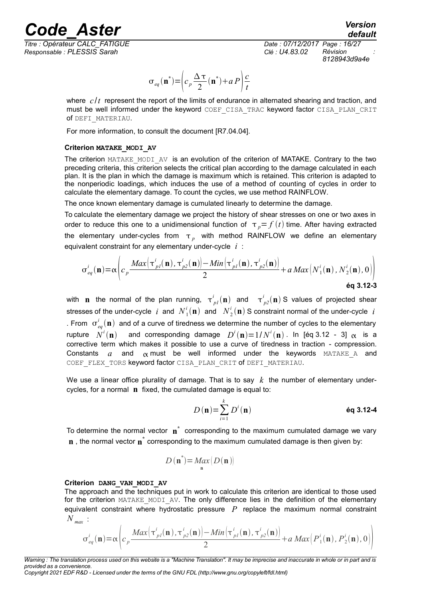*Code\_Aster Version Titre : Opérateur CALC\_FATIGUE Date : 07/12/2017 Page : 16/27*

*default*

*Responsable : PLESSIS Sarah Clé : U4.83.02 Révision : 8128943d9a4e*

$$
\sigma_{eq}(\mathbf{n}^*) = \left(c_p \frac{\Delta \tau}{2}(\mathbf{n}^*) + aP\right)\frac{c}{t}
$$

where  $c/t$  represent the report of the limits of endurance in alternated shearing and traction, and must be well informed under the keyword COEF CISA\_TRAC keyword factor CISA\_PLAN\_CRIT of DEFI\_MATERIAU.

For more information, to consult the document [R7.04.04].

#### **Criterion MATAKE\_MODI\_AV**

The criterion MATAKE\_MODI\_AV is an evolution of the criterion of MATAKE. Contrary to the two preceding criteria, this criterion selects the critical plan according to the damage calculated in each plan. It is the plan in which the damage is maximum which is retained. This criterion is adapted to the nonperiodic loadings, which induces the use of a method of counting of cycles in order to calculate the elementary damage. To count the cycles, we use method RAINFLOW.

The once known elementary damage is cumulated linearly to determine the damage.

To calculate the elementary damage we project the history of shear stresses on one or two axes in order to reduce this one to a unidimensional function of  $\tau_p = f(t)$  time. After having extracted the elementary under-cycles from  $\tau_{p}^{\text{}}$  with method RAINFLOW we define an elementary equivalent constraint for any elementary under-cycle *i* :

$$
\sigma_{eq}^{i}(\mathbf{n}) = \alpha \left( c_p \frac{Max\left(\tau_{pl}^{i}(\mathbf{n}), \tau_{p2}^{i}(\mathbf{n})\right) - Min\left(\tau_{pl}^{i}(\mathbf{n}), \tau_{p2}^{i}(\mathbf{n})\right)}{2} + a \, Max\left(N_1^{i}(\mathbf{n}), N_2^{i}(\mathbf{n}), 0\right) \right)
$$
\n
$$
\text{6q 3.12-3}
$$

with **n** the normal of the plan running,  $\tau^i_{pl}(\mathbf{n})$  and  $\tau^i_{pl}(\mathbf{n})$  S values of projected shear stresses of the under-cycle  $i$  and  $N_1^i(\mathbf{n})$  and  $N_2^i(\mathbf{n})$  S constraint normal of the under-cycle  $i$ . From  $\sigma_{eq}^{i}(\bf{n})$  and of a curve of tiredness we determine the number of cycles to the elementary  $r$ upture  $N^i(\mathbf{n})$  and corresponding damage  $D^i(\mathbf{n})\!=\!1/N^i(\mathbf{n})$  . In [éq 3.12 - 3]  $\alpha$  is a corrective term which makes it possible to use a curve of tiredness in traction - compression. Constants  $a$  and  $\alpha$  must be well informed under the keywords MATAKE A and COEF FLEX TORS keyword factor CISA PLAN CRIT of DEFI MATERIAU.

We use a linear office plurality of damage. That is to say  $k$  the number of elementary undercycles, for a normal **n** fixed, the cumulated damage is equal to:

$$
D(\mathbf{n}) = \sum_{i=1}^{k} D^{i}(\mathbf{n})
$$
éq 3.12-4

To determine the normal vector  $\mathbf{n}^*$  corresponding to the maximum cumulated damage we vary **n**, the normal vector **n**<sup>\*</sup> corresponding to the maximum cumulated damage is then given by:

$$
D(\mathbf{n}^*) = \underset{\mathbf{n}}{\text{Max}}\left(D(\mathbf{n})\right)
$$

#### **Criterion DANG\_VAN\_MODI\_AV**

The approach and the techniques put in work to calculate this criterion are identical to those used for the criterion MATAKE MODI AV. The only difference lies in the definition of the elementary equivalent constraint where hydrostatic pressure *P* replace the maximum normal constraint *N max* :

$$
\sigma_{eq}^{i}(\mathbf{n}) = \alpha \left( c_p \frac{Max\left(\tau_{pl}^{i}(\mathbf{n}) , \tau_{p2}^{i}(\mathbf{n})\right) - Min\left(\tau_{pl}^{i}(\mathbf{n}) , \tau_{p2}^{i}(\mathbf{n})\right)}{2} + a \, Max\left(P_1^{i}(\mathbf{n}) , P_2^{i}(\mathbf{n}) , 0\right) \right)
$$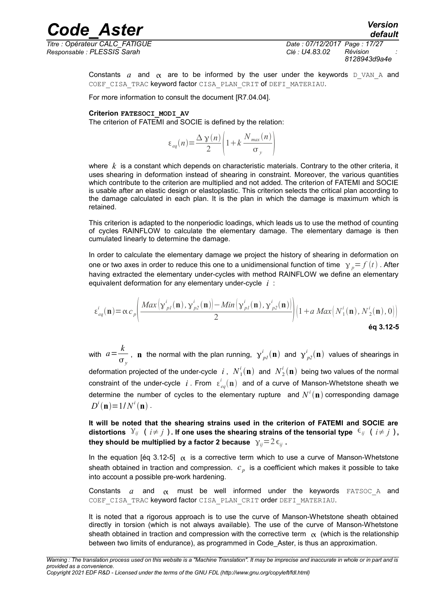*Responsable : PLESSIS Sarah Clé : U4.83.02 Révision :*

*Titre : Opérateur CALC\_FATIGUE Date : 07/12/2017 Page : 17/27 8128943d9a4e*

*default*

Constants *a* and  $\alpha$  are to be informed by the user under the keywords D VAN A and COEF CISA TRAC keyword factor CISA PLAN CRIT of DEFI\_MATERIAU.

For more information to consult the document [R7.04.04].

#### **Criterion FATESOCI\_MODI\_AV**

The criterion of FATEMI and SOCIE is defined by the relation:

$$
\varepsilon_{eq}(n) = \frac{\Delta \gamma(n)}{2} \left( 1 + k \frac{N_{max}(n)}{\sigma_y} \right)
$$

where *k* is a constant which depends on characteristic materials. Contrary to the other criteria, it uses shearing in deformation instead of shearing in constraint. Moreover, the various quantities which contribute to the criterion are multiplied and not added. The criterion of FATEMI and SOCIE is usable after an elastic design or elastoplastic. This criterion selects the critical plan according to the damage calculated in each plan. It is the plan in which the damage is maximum which is retained.

This criterion is adapted to the nonperiodic loadings, which leads us to use the method of counting of cycles RAINFLOW to calculate the elementary damage. The elementary damage is then cumulated linearly to determine the damage.

In order to calculate the elementary damage we project the history of shearing in deformation on one or two axes in order to reduce this one to a unidimensional function of time  $\gamma_n = f(t)$ . After having extracted the elementary under-cycles with method RAINFLOW we define an elementary equivalent deformation for any elementary under-cycle *i* :

$$
\varepsilon_{eq}^{i}(\mathbf{n}) = \alpha c_p \left( \frac{Max\left(\mathbf{y}_{pl}^{i}(\mathbf{n}), \mathbf{y}_{p2}^{i}(\mathbf{n})\right) - Min\left(\mathbf{y}_{pl}^{i}(\mathbf{n}), \mathbf{y}_{p2}^{i}(\mathbf{n})\right)}{2} \right) \left(1 + a \, Max\left(N_1^{i}(\mathbf{n}), N_2^{i}(\mathbf{n}), 0\right)\right)
$$
\n
$$
\text{\'{q 3.12-5}}
$$

with  $a = \frac{k}{k}$  $\frac{\kappa}{\sigma_y}$ , **n** the normal with the plan running,  $\gamma^i_{pl}(\mathbf{n})$  and  $\gamma^i_{pl}(\mathbf{n})$  values of shearings in deformation projected of the under-cycle  $i$  ,  $N^i_{\rm 1}(\mathbf{n})$  and  $N^i_{\rm 2}(\mathbf{n})$  being two values of the normal constraint of the under-cycle  $i$  . From  $\epsilon_{eq}^{i}(\mathbf{n})$  and of a curve of Manson-Whetstone sheath we determine the number of cycles to the elementary rupture and  $N^i(\mathbf{n})$  corresponding damage  $D^{i}(\mathbf{n}) = 1/N^{i}(\mathbf{n})$ .

**It will be noted that the shearing strains used in the criterion of FATEMI and SOCIE are distortions**  $Y_{ij}$  (  $i \neq j$  ). If one uses the shearing strains of the tensorial type  $\epsilon_{ij}$  (  $i \neq j$  ), **they should be multiplied by a factor 2 because**  $\gamma_{ii} = 2\epsilon_{ii}$ .

In the equation [éq 3.12-5]  $\alpha$  is a corrective term which to use a curve of Manson-Whetstone sheath obtained in traction and compression. *c <sup>p</sup>* is a coefficient which makes it possible to take into account a possible pre-work hardening.

Constants  $a$  and  $\alpha$  must be well informed under the keywords FATSOC A and COEF CISA TRAC keyword factor CISA PLAN CRIT order DEFI MATERIAU.

It is noted that a rigorous approach is to use the curve of Manson-Whetstone sheath obtained directly in torsion (which is not always available). The use of the curve of Manson-Whetstone sheath obtained in traction and compression with the corrective term  $\alpha$  (which is the relationship between two limits of endurance), as programmed in Code\_Aster, is thus an approximation.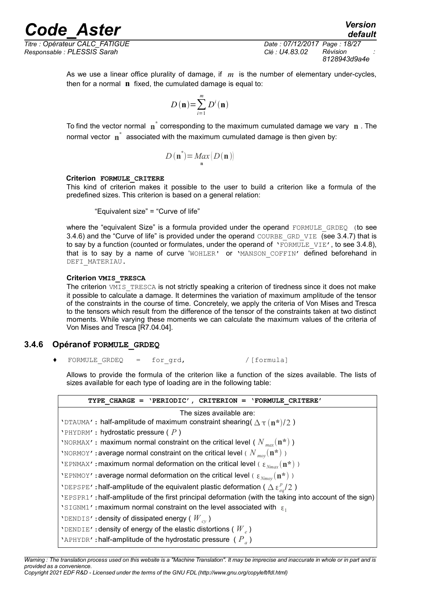*Titre : Opérateur CALC\_FATIGUE Date : 07/12/2017 Page : 18/27 Responsable : PLESSIS Sarah Clé : U4.83.02 Révision :*

*8128943d9a4e*

*default*

As we use a linear office plurality of damage, if *m* is the number of elementary under-cycles, then for a normal **n** fixed, the cumulated damage is equal to:

$$
D(\mathbf{n}) = \sum_{i=1}^{m} D^{i}(\mathbf{n})
$$

*Code\_Aster Version*

To find the vector normal **n \*** corresponding to the maximum cumulated damage we vary **n** . The normal vector  $\mathbf{n}^*$  associated with the maximum cumulated damage is then given by:

$$
D(\mathbf{n}^*) = \underset{\mathbf{n}}{\text{Max}}\left(D(\mathbf{n})\right)
$$

#### **Criterion FORMULE\_CRITERE**

This kind of criterion makes it possible to the user to build a criterion like a formula of the predefined sizes. This criterion is based on a general relation:

"Equivalent size" = "Curve of life"

where the "equivalent Size" is a formula provided under the operand FORMULE GRDEQ (to see 3.4.6) and the "Curve of life" is provided under the operand COURBE\_GRD\_VIE (see 3.4.7) that is to say by a function (counted or formulates, under the operand of  $YEORMULEVIE'$ , to see 3.4.8), that is to say by a name of curve 'WOHLER' or 'MANSON\_COFFIN' defined beforehand in DEFI\_MATERIAU.

#### **Criterion VMIS\_TRESCA**

The criterion VMIS TRESCA is not strictly speaking a criterion of tiredness since it does not make it possible to calculate a damage. It determines the variation of maximum amplitude of the tensor of the constraints in the course of time. Concretely, we apply the criteria of Von Mises and Tresca to the tensors which result from the difference of the tensor of the constraints taken at two distinct moments. While varying these moments we can calculate the maximum values of the criteria of Von Mises and Tresca [R7.04.04].

#### **3.4.6 Opéranof FORMULE\_GRDEQ**

 $\text{FORMULE}$  GRDEQ = for grd,  $\text{Formula}$ 

Allows to provide the formula of the criterion like a function of the sizes available. The lists of sizes available for each type of loading are in the following table:

| TYPE CHARGE = $'PERIODIC'$ , CRITERION = $'FORMULE CRITER'$                                            |
|--------------------------------------------------------------------------------------------------------|
| The sizes available are:                                                                               |
| 'DTAUMA': half-amplitude of maximum constraint shearing $(\Delta \tau (n^*)/2)$                        |
| 'PHYDRM': hydrostatic pressure $(P)$                                                                   |
| 'NORMAX': maximum normal constraint on the critical level ( $N_{\text{max}}(\mathbf{n}^*)$ )           |
| 'NORMOY': average normal constraint on the critical level ( $N_{\text{mov}}(\mathbf{n}^*)$ )           |
| 'EPNMAX': maximum normal deformation on the critical level ( $\epsilon_{Nmax}(\mathbf{n}^*)$ )         |
| 'EPNMOY': average normal deformation on the critical level ( $\epsilon_{Nmov}(\mathbf{n}^*)$ )         |
| 'DEPSPE': half-amplitude of the equivalent plastic deformation ( $\Delta \epsilon_{eq}^p/2$ )          |
| 'EPSPR1': half-amplitude of the first principal deformation (with the taking into account of the sign) |
| 'SIGNM1': maximum normal constraint on the level associated with $\epsilon_1$                          |
| 'DENDIS': density of dissipated energy ( $W_{cv}$ )                                                    |
| 'DENDIE': density of energy of the elastic distortions ( $W_{\rho}$ )                                  |
| 'APHYDR': half-amplitude of the hydrostatic pressure ( $P_a$ )                                         |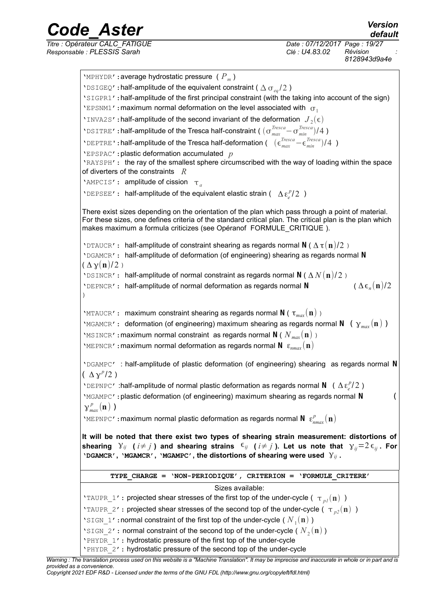*Code\_Aster Version Titre : Opérateur CALC\_FATIGUE Date : 07/12/2017 Page : 19/27*

*8128943d9a4e* 'MPHYDR':average hydrostatic pressure ( *P<sup>m</sup>* ) 'DSIGEQ': half-amplitude of the equivalent constraint ( $\Delta \sigma_{eq}/2$ ) 'SIGPR1':half-amplitude of the first principal constraint (with the taking into account of the sign) 'EPSNM1': maximum normal deformation on the level associated with  $\sigma_1$ 'INVA2S': half-amplitude of the second invariant of the deformation  $J_2(\epsilon)$ 'DSITRE': half-amplitude of the Tresca half-constraint ( $(\sigma_{max}^{Tresca} - \sigma_{min}^{Tresca})/4$ ) **'**DEPTRE': half-amplitude of the Tresca half-deformation (  $(\epsilon_{max}^{Tresca} - \epsilon_{min}^{Tresca})/4$  ) 'EPSPAC':plastic deformation accumulated *p* 'RAYSPH': the ray of the smallest sphere circumscribed with the way of loading within the space of diverters of the constraints *R* 'AMPCIS': amplitude of cission  $\tau_a$ 'DEPSEE': half-amplitude of the equivalent elastic strain (  $\Delta \varepsilon_e^p/2$  ) There exist sizes depending on the orientation of the plan which pass through a point of material. For these sizes, one defines criteria of the standard critical plan. The critical plan is the plan which makes maximum a formula criticizes (see Opéranof FORMULE\_CRITIQUE). 'DTAUCR': half-amplitude of constraint shearing as regards normal **N** ( Δ τ(**n**)/2 ) 'DGAMCR': half-amplitude of deformation (of engineering) shearing as regards normal **N**  $(\Delta \gamma(n)/2)$ 'DSINCR': half-amplitude of normal constraint as regards normal **N** ( Δ *N* (**n**)/ 2 ) 'DEPNCR': half-amplitude of normal deformation as regards normal **N**  $(\Delta \epsilon_n(\mathbf{n})/2)$ ) 'MTAUCR': maximum constraint shearing as regards normal **N** ( τ*max* (**n**) ) 'MGAMCR': deformation (of engineering) maximum shearing as regards normal **N** ( $\gamma_{max}(\mathbf{n})$ ) 'MSINCR':maximum normal constraint as regards normal **N** ( *N max* (**n**) ) 'MEPNCR': maximum normal deformation as regards normal  $N \varepsilon_{nmax}(n)$ 'DGAMPC' : half-amplitude of plastic deformation (of engineering) shearing as regards normal **N**  $(\Delta \gamma^p/2)$ 'DEPNPC' :half-amplitude of normal plastic deformation as regards normal **N** ( Δε<sup>*p*</sup>/2) 'MGAMPC': plastic deformation (of engineering) maximum shearing as regards normal N  $\gamma_{max}^{\,p}(\mathbf{n})$ ) 'MEPNPC': maximum normal plastic deformation as regards normal  $N \epsilon_{nmax}^p(n)$ **It will be noted that there exist two types of shearing strain measurement: distortions of** shearing  $Y_{ij}$  ( $i \neq j$ ) and shearing strains  $\epsilon_{ij}$  ( $i \neq j$ ). Let us note that  $\gamma_{ii} = 2 \epsilon_{ii}$ . For **'DGAMCR', 'MGAMCR', 'MGAMPC', the distortions of shearing were used** γ*ij* **. TYPE\_CHARGE = 'NON-PERIODIQUE', CRITERION = 'FORMULE\_CRITERE'** Sizes available: 'TAUPR 1': projected shear stresses of the first top of the under-cycle ( $\tau_{nl}(\mathbf{n})$ ) 'TAUPR 2': projected shear stresses of the second top of the under-cycle ( $\tau_{22}(\bf n)$ ) 'SIGN\_1':normal constraint of the first top of the under-cycle ( $N_1$ (n)) 'SIGN\_2': normal constraint of the second top of the under-cycle ( $N_2(\mathbf{n})$ ) 'PHYDR 1': hydrostatic pressure of the first top of the under-cycle 'PHYDR\_2': hydrostatic pressure of the second top of the under-cycle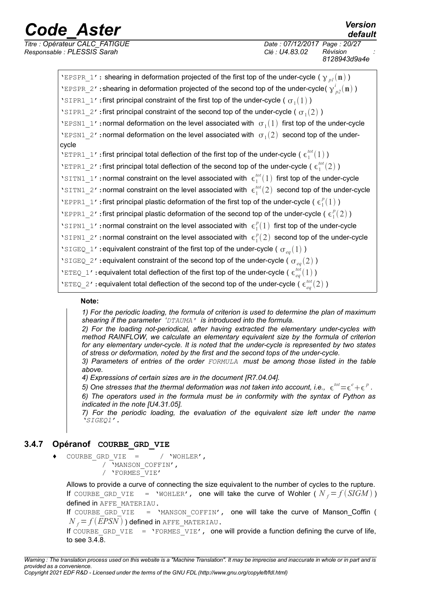*Titre : Opérateur CALC\_FATIGUE Date : 07/12/2017 Page : 20/27 Responsable : PLESSIS Sarah Clé : U4.83.02 Révision :*

*8128943d9a4e*

| 'EPSPR_1': shearing in deformation projected of the first top of the under-cycle ( $\gamma_{pI}(\mathbf{n})$ ) |
|----------------------------------------------------------------------------------------------------------------|
| 'EPSPR_2': shearing in deformation projected of the second top of the under-cycle( $y_{p2}^i(n)$ )             |
| 'SIPR1_1': first principal constraint of the first top of the under-cycle ( $\sigma_1(1)$ )                    |
| 'SIPR1_2': first principal constraint of the second top of the under-cycle ( $\sigma_1(2)$ )                   |
| 'EPSN1_1': normal deformation on the level associated with $\sigma_1(1)$ first top of the under-cycle          |
| 'EPSN1_2': normal deformation on the level associated with $\sigma_1(2)$ second top of the under-              |
| cycle                                                                                                          |
| 'ETPR1_1': first principal total deflection of the first top of the under-cycle ( $\epsilon_1^{tot}(1)$ )      |
| 'ETPR1_2': first principal total deflection of the second top of the under-cycle ( $\epsilon_1^{tot}(2)$ )     |
| 'SITN1_1': normal constraint on the level associated with $\epsilon_1^{tot}(1)$ first top of the under-cycle   |
| 'SITN1_2': normal constraint on the level associated with $\epsilon_1^{tot}(2)$ second top of the under-cycle  |
| 'EPPR1_1': first principal plastic deformation of the first top of the under-cycle ( $\epsilon_1^p(1)$ )       |
| 'EPPR1_2': first principal plastic deformation of the second top of the under-cycle ( $\epsilon_1^p(2)$ )      |
| 'SIPN1_1': normal constraint on the level associated with $\epsilon_1^p(1)$ first top of the under-cycle       |
| 'SIPN1_2': normal constraint on the level associated with $\epsilon_1^p(2)$ second top of the under-cycle      |
| 'SIGEQ_1': equivalent constraint of the first top of the under-cycle ( $\sigma_{eq}(1)$ )                      |
| 'SIGEQ_2': equivalent constraint of the second top of the under-cycle ( $\sigma_{eq}(2)$ )                     |
| 'ETEQ_1': equivalent total deflection of the first top of the under-cycle ( $\epsilon_{eq}^{tot}(1)$ )         |
| 'ETEQ_2': equivalent total deflection of the second top of the under-cycle ( $\epsilon_{ea}^{tot}(2)$ )        |

#### **Note:**

*1) For the periodic loading, the formula of criterion is used to determine the plan of maximum shearing if the parameter 'DTAUMA' is introduced into the formula.*

*2) For the loading not-periodical, after having extracted the elementary under-cycles with method RAINFLOW, we calculate an elementary equivalent size by the formula of criterion for any elementary under-cycle. It is noted that the under-cycle is represented by two states of stress or deformation, noted by the first and the second tops of the under-cycle.*

*3) Parameters of entries of the order FORMULA must be among those listed in the table above.*

*4) Expressions of certain sizes are in the document [R7.04.04].*

5) One stresses that the thermal deformation was not taken into account, i.e.,  $e^{i\omega t} = e^e + e^p$ .

*6) The operators used in the formula must be in conformity with the syntax of Python as indicated in the note [U4.31.05].* 

*7) For the periodic loading, the evaluation of the equivalent size left under the name 'SIGEQ1'.*

#### **3.4.7 Opéranof COURBE\_GRD\_VIE**

COURBE GRD VIE =  $/$  'WOHLER', / 'MANSON\_COFFIN', / 'FORMES\_VIE'

Allows to provide a curve of connecting the size equivalent to the number of cycles to the rupture. If COURBE GRD VIE = 'WOHLER', one will take the curve of Wohler ( $N_f = f(SIGM)$ ) defined in AFFE\_MATERIAU.

If COURBE GRD VIE = 'MANSON COFFIN', one will take the curve of Manson Coffin (  $N_f = f(EPSN)$ ) defined in AFFE\_MATERIAU.

If COURBE GRD VIE = 'FORMES VIE', one will provide a function defining the curve of life, to see 3.4.8.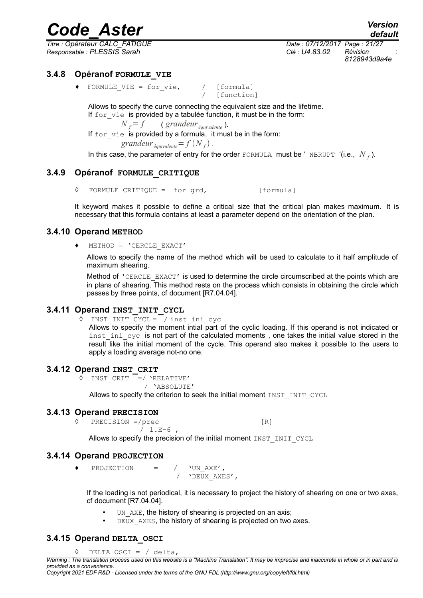*Titre : Opérateur CALC\_FATIGUE Date : 07/12/2017 Page : 21/27 Responsable : PLESSIS Sarah Clé : U4.83.02 Révision :*

*8128943d9a4e*

#### **3.4.8 Opéranof FORMULE\_VIE**

 $FORMULE_VIE = for\_vie,$  / [formula]

[function]

Allows to specify the curve connecting the equivalent size and the lifetime. If for\_vie is provided by a tabulée function, it must be in the form:

 $N_f = f$  (*grandeur*  $_{\text{\'equivalence}}$ ).

If for vie is provided by a formula, it must be in the form:

*grandeur*  $_{\text{\'equivalence}} = f(N_f)$ .

In this case, the parameter of entry for the order FORMULA must be 'NBRUPT '(i.e.,  $N_f$ ).

#### **3.4.9 Opéranof FORMULE\_CRITIQUE**

<span id="page-20-0"></span>◊ FORMULE\_CRITIQUE = for\_grd, [formula]

It keyword makes it possible to define a critical size that the critical plan makes maximum. It is necessary that this formula contains at least a parameter depend on the orientation of the plan.

#### **3.4.10 Operand METHOD**

 $METHOD = 'CERCLE EXACT'$ 

Allows to specify the name of the method which will be used to calculate to it half amplitude of maximum shearing.

Method of 'CERCLE\_EXACT' is used to determine the circle circumscribed at the points which are in plans of shearing. This method rests on the process which consists in obtaining the circle which passes by three points, cf document [R7.04.04].

### **3.4.11 Operand INST\_INIT\_CYCL**

**◊** INST\_INIT\_CYCL = / inst\_ini\_cyc Allows to specify the moment intial part of the cyclic loading. If this operand is not indicated or inst ini  $cyc$  is not part of the calculated moments , one takes the initial value stored in the result like the initial moment of the cycle. This operand also makes it possible to the users to apply a loading average not-no one.

#### **3.4.12 Operand INST\_CRIT**

**◊** INST\_CRIT =/ 'RELATIVE'

/ 'ABSOLUTE'

Allows to specify the criterion to seek the initial moment INST\_INIT\_CYCL

#### **3.4.13 Operand PRECISION**

**PRECISION** =/prec [R]  $/ 1.E-6$ ,

Allows to specify the precision of the initial moment INST\_INIT\_CYCL

### **3.4.14 Operand PROJECTION**

♦ PROJECTION = / 'UN\_AXE', / 'DEUX AXES',

If the loading is not periodical, it is necessary to project the history of shearing on one or two axes, cf document [R7.04.04].

- UN AXE, the history of shearing is projected on an axis;
- DEUX AXES, the history of shearing is projected on two axes.

## **3.4.15 Operand DELTA\_OSCI**

◊ DELTA\_OSCI = / delta,

*Copyright 2021 EDF R&D - Licensed under the terms of the GNU FDL (http://www.gnu.org/copyleft/fdl.html)*

*Warning : The translation process used on this website is a "Machine Translation". It may be imprecise and inaccurate in whole or in part and is provided as a convenience.*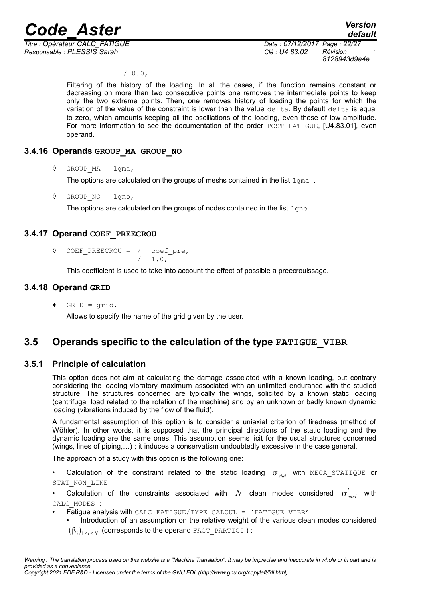*Titre : Opérateur CALC\_FATIGUE Date : 07/12/2017 Page : 22/27 Responsable : PLESSIS Sarah Clé : U4.83.02 Révision :*

*8128943d9a4e*

 $/ 0.0,$ 

Filtering of the history of the loading. In all the cases, if the function remains constant or decreasing on more than two consecutive points one removes the intermediate points to keep only the two extreme points. Then, one removes history of loading the points for which the variation of the value of the constraint is lower than the value delta. By default delta is equal to zero, which amounts keeping all the oscillations of the loading, even those of low amplitude. For more information to see the documentation of the order POST\_FATIGUE, [U4.83.01], even operand.

#### **3.4.16 Operands GROUP\_MA GROUP\_NO**

 $\Diamond$  GROUP MA = lgma,

The options are calculated on the groups of meshs contained in the list  $1$  qma.

 $\Diamond$  GROUP NO = lgno,

The options are calculated on the groups of nodes contained in the list  $1qno$ .

#### **3.4.17 Operand COEF\_PREECROU**

 $\Diamond$  COEF PREECROU = / coef pre,  $/ 1.0,$ 

This coefficient is used to take into account the effect of possible a préécrouissage.

#### **3.4.18 Operand GRID**

 $GRID = grid,$ 

Allows to specify the name of the grid given by the user.

## **3.5 Operands specific to the calculation of the type FATIGUE\_VIBR**

#### **3.5.1 Principle of calculation**

<span id="page-21-0"></span>This option does not aim at calculating the damage associated with a known loading, but contrary considering the loading vibratory maximum associated with an unlimited endurance with the studied structure. The structures concerned are typically the wings, solicited by a known static loading (centrifugal load related to the rotation of the machine) and by an unknown or badly known dynamic loading (vibrations induced by the flow of the fluid).

A fundamental assumption of this option is to consider a uniaxial criterion of tiredness (method of Wöhler). In other words, it is supposed that the principal directions of the static loading and the dynamic loading are the same ones. This assumption seems licit for the usual structures concerned (wings, lines of piping,…) ; it induces a conservatism undoubtedly excessive in the case general.

The approach of a study with this option is the following one:

• Calculation of the constraint related to the static loading  $\sigma_{stat}$  with MECA\_STATIQUE or STAT\_NON\_LINE ;

• Calculation of the constraints associated with  $N$  clean modes considered  $\sigma_{mod}^{i}$  with CALC\_MODES ;

- Fatique analysis with CALC\_FATIGUE/TYPE\_CALCUL = 'FATIGUE\_VIBR'
	- Introduction of an assumption on the relative weight of the various clean modes considered  $(\boldsymbol{\beta}_i)_{1\leq i\leq N}$  (corresponds to the operand <code>FACT\_PARTICI</code> ) :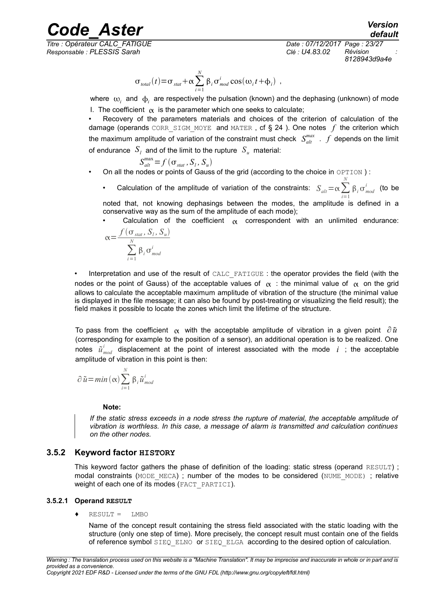*Titre : Opérateur CALC\_FATIGUE Date : 07/12/2017 Page : 23/27 Responsable : PLESSIS Sarah Clé : U4.83.02 Révision :*

*8128943d9a4e*

$$
\sigma_{total}(t) = \sigma_{stat} + \alpha \sum_{i=1}^{N} \beta_i \sigma_{mod}^{i} \cos(\omega_i t + \phi_i) ,
$$

where  $\omega_i$  and  $\phi_i$  are respectively the pulsation (known) and the dephasing (unknown) of mode I. The coefficient  $\alpha$  is the parameter which one seeks to calculate;

• Recovery of the parameters materials and choices of the criterion of calculation of the damage (operands CORR SIGM MOYE and MATER, cf § [24](#page-23-0) ). One notes  $f$  the criterion which the maximum amplitude of variation of the constraint must check  $S_{alt}^{max}$  .  $f$  depends on the limit of endurance  $|{\cal S}_l|$  and of the limit to the rupture  $|{\cal S}_u|$  material:

$$
S_{\text{alt}}^{\text{max}} \!=\! f\left(\sigma_{\text{stat}}, S_{\text{l}}, S_{\text{u}}\right)
$$

- On all the nodes or points of Gauss of the grid (according to the choice in OPTION ) :
	- Calculation of the amplitude of variation of the constraints:  $\int_{alt}^{N} = \alpha \sum_{i=1}^{N}$ *i*=1  $\beta_i \sigma_{mod}^i$  (to be

noted that, not knowing dephasings between the modes, the amplitude is defined in a conservative way as the sum of the amplitude of each mode);

• Calculation of the coefficient  $\alpha$  correspondent with an unlimited endurance:  $f(\sigma_{\textit{stat}}, S_{\textit{l}}, S_{\textit{u}})$ 

$$
\alpha = \frac{\int \left( \mathbf{0}_{stat}, \mathbf{S}_{l}, \mathbf{S}_{u} \right)}{\sum_{i=1}^{N} \beta_{i} \sigma_{mod}^{i}}
$$

Interpretation and use of the result of CALC\_FATIGUE : the operator provides the field (with the nodes or the point of Gauss) of the acceptable values of  $\alpha$ : the minimal value of  $\alpha$  on the grid allows to calculate the acceptable maximum amplitude of vibration of the structure (the minimal value is displayed in the file message; it can also be found by post-treating or visualizing the field result); the field makes it possible to locate the zones which limit the lifetime of the structure.

To pass from the coefficient  $\alpha$  with the acceptable amplitude of vibration in a given point  $\partial \tilde{u}$ (corresponding for example to the position of a sensor), an additional operation is to be realized. One notes  $\tilde{u}^i_{mod}$  displacement at the point of interest associated with the mode  $i$  ; the acceptable amplitude of vibration in this point is then:

$$
\partial \tilde{u} = min(\alpha) \sum_{i=1}^{N} \beta_{i} \tilde{u}_{mod}^{i}
$$

#### **Note:**

*If the static stress exceeds in a node stress the rupture of material, the acceptable amplitude of vibration is worthless. In this case, a message of alarm is transmitted and calculation continues on the other nodes.*

#### **3.5.2 Keyword factor HISTORY**

This keyword factor gathers the phase of definition of the loading: static stress (operand RESULT) ; modal constraints (MODE\_MECA) ; number of the modes to be considered (NUME\_MODE) ; relative weight of each one of its modes (FACT\_PARTICI).

#### **3.5.2.1 Operand RESULT**

#### ♦ RESULT = LMBO

Name of the concept result containing the stress field associated with the static loading with the structure (only one step of time). More precisely, the concept result must contain one of the fields of reference symbol SIEQ ELNO or SIEQ ELGA according to the desired option of calculation.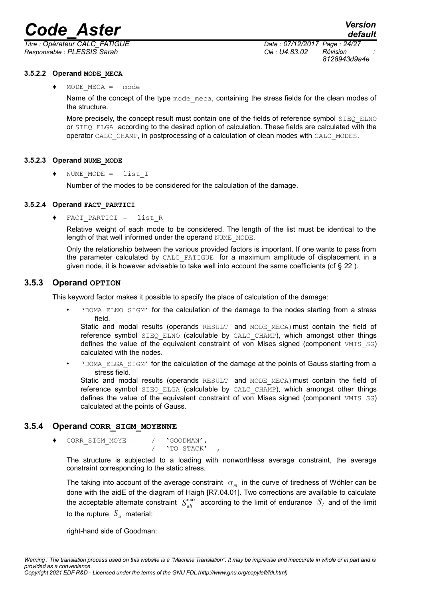*Titre : Opérateur CALC\_FATIGUE Date : 07/12/2017 Page : 24/27 Responsable : PLESSIS Sarah Clé : U4.83.02 Révision :*

*8128943d9a4e*

#### **3.5.2.2 Operand MODE\_MECA**

 $MODE$  MECA = mode

Name of the concept of the type mode meca, containing the stress fields for the clean modes of the structure.

More precisely, the concept result must contain one of the fields of reference symbol SIEQ ELNO or SIEQ\_ELGA according to the desired option of calculation. These fields are calculated with the operator CALC\_CHAMP, in postprocessing of a calculation of clean modes with CALC\_MODES.

#### **3.5.2.3 Operand NUME\_MODE**

♦ NUME\_MODE = list\_I

Number of the modes to be considered for the calculation of the damage.

#### **3.5.2.4 Operand FACT\_PARTICI**

♦ FACT\_PARTICI = list\_R

Relative weight of each mode to be considered. The length of the list must be identical to the length of that well informed under the operand NUME\_MODE.

Only the relationship between the various provided factors is important. If one wants to pass from the parameter calculated by CALC\_FATIGUE for a maximum amplitude of displacement in a given node, it is however advisable to take well into account the same coefficients (cf  $\S 22$  $\S 22$ ).

#### **3.5.3 Operand OPTION**

This keyword factor makes it possible to specify the place of calculation of the damage:

• 'DOMA\_ELNO\_SIGM' for the calculation of the damage to the nodes starting from a stress field.

Static and modal results (operands RESULT and MODE MECA) must contain the field of reference symbol SIEQ\_ELNO (calculable by CALC\_CHAMP), which amongst other things defines the value of the equivalent constraint of von Mises signed (component VMIS SG) calculated with the nodes.

• **'DOMA** ELGA SIGM' for the calculation of the damage at the points of Gauss starting from a stress field.

Static and modal results (operands RESULT and MODE MECA) must contain the field of reference symbol SIEQ ELGA (calculable by CALC CHAMP), which amongst other things defines the value of the equivalent constraint of von Mises signed (component  $VMIS^S$  SG) calculated at the points of Gauss.

#### **3.5.4 Operand CORR\_SIGM\_MOYENNE**

<span id="page-23-0"></span>CORR SIGM MOYE =  $/$  'GOODMAN', / 'TO STACK' ,

The structure is subjected to a loading with nonworthless average constraint, the average constraint corresponding to the static stress.

The taking into account of the average constraint  $\sigma_m$  in the curve of tiredness of Wöhler can be done with the aidE of the diagram of Haigh [R7.04.01]. Two corrections are available to calculate the acceptable alternate constraint  $S_{alt}^{max}$  according to the limit of endurance  $S_{I}$  and of the limit to the rupture  $S_u$  material:

right-hand side of Goodman: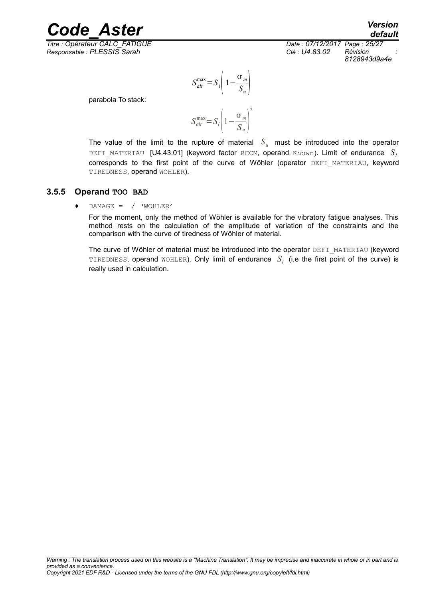*Titre : Opérateur CALC\_FATIGUE Date : 07/12/2017 Page : 25/27 Responsable : PLESSIS Sarah Clé : U4.83.02 Révision :*

*default 8128943d9a4e*

$$
S_{alt}^{\max} = S_l \left( 1 - \frac{\sigma_m}{S_u} \right)
$$

parabola To stack:

$$
S_{alt}^{max} = S_l \left( 1 - \frac{\sigma_m}{S_u} \right)^2
$$

The value of the limit to the rupture of material  $S_u$  must be introduced into the operator DEFI\_MATERIAU  $[U4.43.01]$  (keyword factor RCCM, operand Known). Limit of endurance  $S<sub>l</sub>$ corresponds to the first point of the curve of Wöhler (operator DEFI\_MATERIAU, keyword TIREDNESS, operand WOHLER).

#### **3.5.5 Operand TOO BAD**

♦ DAMAGE = / 'WOHLER'

For the moment, only the method of Wöhler is available for the vibratory fatigue analyses. This method rests on the calculation of the amplitude of variation of the constraints and the comparison with the curve of tiredness of Wöhler of material.

The curve of Wöhler of material must be introduced into the operator DEFI\_MATERIAU (keyword <code>TIREDNESS</code>, operand <code>wOHLER</code>). Only limit of endurance  $|S_l|$  (i.e the first point of the curve) is really used in calculation.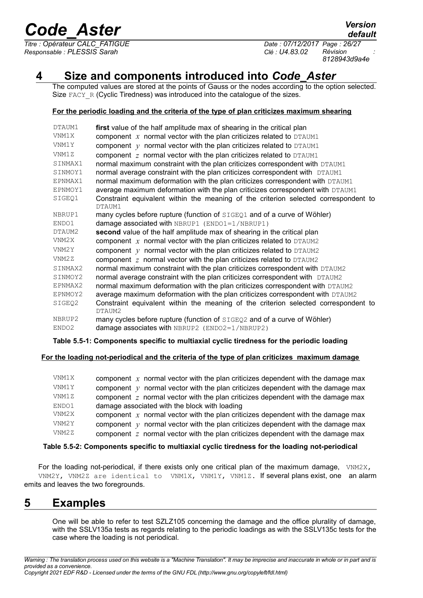*Titre : Opérateur CALC\_FATIGUE Date : 07/12/2017 Page : 26/27 Responsable : PLESSIS Sarah Clé : U4.83.02 Révision :*

*8128943d9a4e*

# **4 Size and components introduced into** *Code\_Aster*

The computed values are stored at the points of Gauss or the nodes according to the option selected. Size FACY R (Cyclic Tiredness) was introduced into the catalogue of the sizes.

#### **For the periodic loading and the criteria of the type of plan criticizes maximum shearing**

| DTAUM1  | first value of the half amplitude max of shearing in the critical plan                        |
|---------|-----------------------------------------------------------------------------------------------|
| VNM1X   | component $x$ normal vector with the plan criticizes related to DTAUM1                        |
| VNM1Y   | component $y$ normal vector with the plan criticizes related to DTAUM1                        |
| VNM1Z   | component $z$ normal vector with the plan criticizes related to DTAUM1                        |
| SINMAX1 | normal maximum constraint with the plan criticizes correspondent with DTAUM1                  |
| SINMOY1 | normal average constraint with the plan criticizes correspondent with DTAUM1                  |
| EPNMAX1 | normal maximum deformation with the plan criticizes correspondent with DTAUM1                 |
| EPNMOY1 | average maximum deformation with the plan criticizes correspondent with DTAUM1                |
| SIGEO1  | Constraint equivalent within the meaning of the criterion selected correspondent to<br>DTAUM1 |
| NBRUP1  | many cycles before rupture (function of SIGEQ1 and of a curve of Wöhler)                      |
| ENDO1   | damage associated with $NBFUP1$ ( $ENDO1=1/NBRUP1$ )                                          |
| DTAUM2  | second value of the half amplitude max of shearing in the critical plan                       |
| VNM2X   | component $x$ normal vector with the plan criticizes related to DTAUM2                        |
| VNM2Y   | component $y$ normal vector with the plan criticizes related to DTAUM2                        |
| VNM2Z   | component $z$ normal vector with the plan criticizes related to DTAUM2                        |
| SINMAX2 | normal maximum constraint with the plan criticizes correspondent with DTAUM2                  |
| SINMOY2 | normal average constraint with the plan criticizes correspondent with DTAUM2                  |
| EPNMAX2 | normal maximum deformation with the plan criticizes correspondent with DTAUM2                 |
| EPNMOY2 | average maximum deformation with the plan criticizes correspondent with DTAUM2                |
| SIGEQ2  | Constraint equivalent within the meaning of the criterion selected correspondent to<br>DTAUM2 |
| NBRUP2  | many cycles before rupture (function of SIGEQ2 and of a curve of Wöhler)                      |
| ENDO2   | damage associates with $NBFUP2$ ( $ENDO2=1/NBRUP2$ )                                          |

#### **Table 5.5-1: Components specific to multiaxial cyclic tiredness for the periodic loading**

#### **For the loading not-periodical and the criteria of the type of plan criticizes maximum damage**

| VNM1X | component $x$ normal vector with the plan criticizes dependent with the damage max      |
|-------|-----------------------------------------------------------------------------------------|
| VNM1Y | component $y$ normal vector with the plan criticizes dependent with the damage max      |
| VNM1Z | component $z$ normal vector with the plan criticizes dependent with the damage max      |
| ENDO1 | damage associated with the block with loading                                           |
| VNM2X | component $x$ normal vector with the plan criticizes dependent with the damage max      |
| VNM2Y | component $\gamma$ normal vector with the plan criticizes dependent with the damage max |
| VNM2Z | component $z$ normal vector with the plan criticizes dependent with the damage max      |

#### **Table 5.5-2: Components specific to multiaxial cyclic tiredness for the loading not-periodical**

For the loading not-periodical, if there exists only one critical plan of the maximum damage, VNM2X, VNM2Y, VNM2Z are identical to VNM1X, VNM1Y, VNM1Z. If several plans exist, one an alarm emits and leaves the two foregrounds.

## **5 Examples**

One will be able to refer to test SZLZ105 concerning the damage and the office plurality of damage, with the SSLV135a tests as regards relating to the periodic loadings as with the SSLV135c tests for the case where the loading is not periodical.

*default*